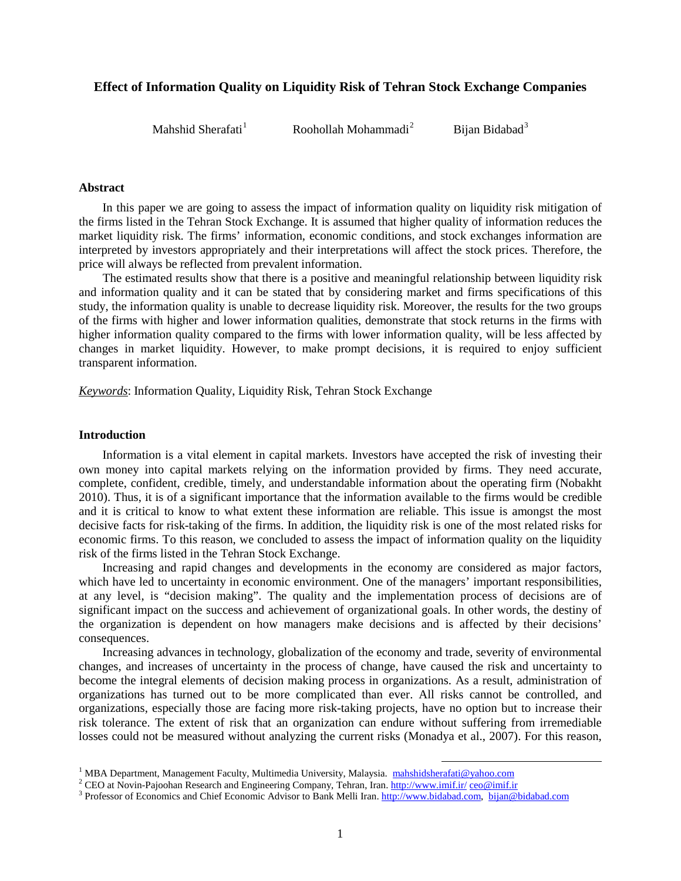# **Effect of Information Quality on Liquidity Risk of Tehran Stock Exchange Companies**

Mahshid Sherafati<sup>1</sup>

Roohollah Mohammadi*1F*

<sup>2</sup> Bijan Bidabad<sup>3</sup>

#### **Abstract**

In this paper we are going to assess the impact of information quality on liquidity risk mitigation of the firms listed in the Tehran Stock Exchange. It is assumed that higher quality of information reduces the market liquidity risk. The firms' information, economic conditions, and stock exchanges information are interpreted by investors appropriately and their interpretations will affect the stock prices. Therefore, the price will always be reflected from prevalent information.

The estimated results show that there is a positive and meaningful relationship between liquidity risk and information quality and it can be stated that by considering market and firms specifications of this study, the information quality is unable to decrease liquidity risk. Moreover, the results for the two groups of the firms with higher and lower information qualities, demonstrate that stock returns in the firms with higher information quality compared to the firms with lower information quality, will be less affected by changes in market liquidity. However, to make prompt decisions, it is required to enjoy sufficient transparent information.

*Keywords*: Information Quality, Liquidity Risk, Tehran Stock Exchange

#### **Introduction**

Information is a vital element in capital markets. Investors have accepted the risk of investing their own money into capital markets relying on the information provided by firms. They need accurate, complete, confident, credible, timely, and understandable information about the operating firm (Nobakht 2010). Thus, it is of a significant importance that the information available to the firms would be credible and it is critical to know to what extent these information are reliable. This issue is amongst the most decisive facts for risk-taking of the firms. In addition, the liquidity risk is one of the most related risks for economic firms. To this reason, we concluded to assess the impact of information quality on the liquidity risk of the firms listed in the Tehran Stock Exchange.

Increasing and rapid changes and developments in the economy are considered as major factors, which have led to uncertainty in economic environment. One of the managers' important responsibilities, at any level, is "decision making". The quality and the implementation process of decisions are of significant impact on the success and achievement of organizational goals. In other words, the destiny of the organization is dependent on how managers make decisions and is affected by their decisions' consequences.

Increasing advances in technology, globalization of the economy and trade, severity of environmental changes, and increases of uncertainty in the process of change, have caused the risk and uncertainty to become the integral elements of decision making process in organizations. As a result, administration of organizations has turned out to be more complicated than ever. All risks cannot be controlled, and organizations, especially those are facing more risk-taking projects, have no option but to increase their risk tolerance. The extent of risk that an organization can endure without suffering from irremediable losses could not be measured without analyzing the current risks (Monadya et al., 2007). For this reason,

1

<sup>&</sup>lt;sup>1</sup> MBA Department, Management Faculty, Multimedia University, Malaysia. [mahshidsherafati@yahoo.com](mailto:mahshidsherafati@yahoo.com)<br><sup>2</sup> CEO at Novin-Pajoohan Research and Engineering Company, Tehran, Iran[. http://www.imif.ir/](http://www.imif.ir/) [ceo@imif.ir](mailto:ceo@imif.ir)/<br><sup>3</sup> Professor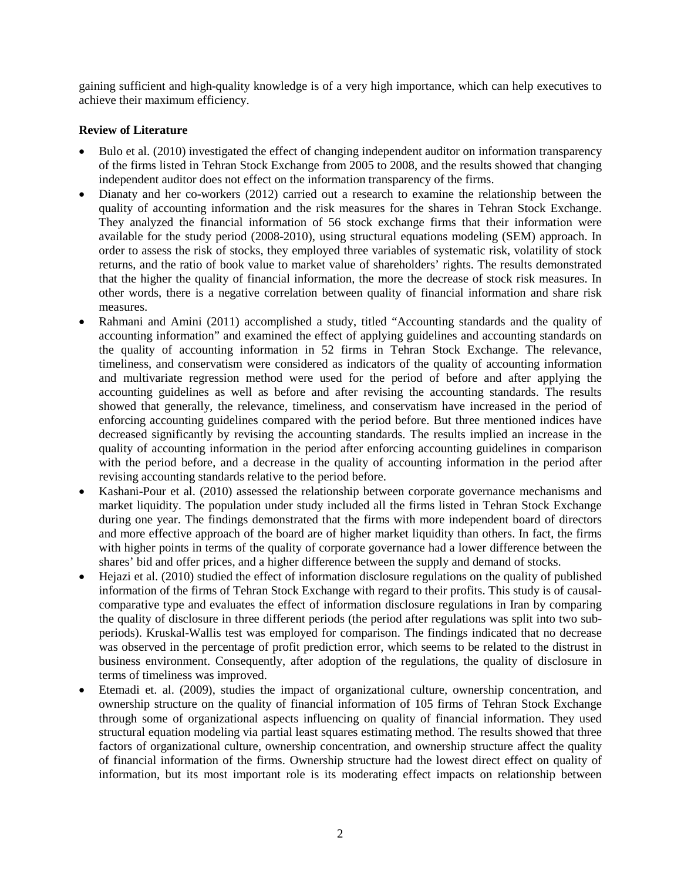gaining sufficient and high-quality knowledge is of a very high importance, which can help executives to achieve their maximum efficiency.

# **Review of Literature**

- Bulo et al. (2010) investigated the effect of changing independent auditor on information transparency of the firms listed in Tehran Stock Exchange from 2005 to 2008, and the results showed that changing independent auditor does not effect on the information transparency of the firms.
- Dianaty and her co-workers (2012) carried out a research to examine the relationship between the quality of accounting information and the risk measures for the shares in Tehran Stock Exchange. They analyzed the financial information of 56 stock exchange firms that their information were available for the study period (2008-2010), using structural equations modeling (SEM) approach. In order to assess the risk of stocks, they employed three variables of systematic risk, volatility of stock returns, and the ratio of book value to market value of shareholders' rights. The results demonstrated that the higher the quality of financial information, the more the decrease of stock risk measures. In other words, there is a negative correlation between quality of financial information and share risk measures.
- Rahmani and Amini (2011) accomplished a study, titled "Accounting standards and the quality of accounting information" and examined the effect of applying guidelines and accounting standards on the quality of accounting information in 52 firms in Tehran Stock Exchange. The relevance, timeliness, and conservatism were considered as indicators of the quality of accounting information and multivariate regression method were used for the period of before and after applying the accounting guidelines as well as before and after revising the accounting standards. The results showed that generally, the relevance, timeliness, and conservatism have increased in the period of enforcing accounting guidelines compared with the period before. But three mentioned indices have decreased significantly by revising the accounting standards. The results implied an increase in the quality of accounting information in the period after enforcing accounting guidelines in comparison with the period before, and a decrease in the quality of accounting information in the period after revising accounting standards relative to the period before.
- Kashani-Pour et al. (2010) assessed the relationship between corporate governance mechanisms and market liquidity. The population under study included all the firms listed in Tehran Stock Exchange during one year. The findings demonstrated that the firms with more independent board of directors and more effective approach of the board are of higher market liquidity than others. In fact, the firms with higher points in terms of the quality of corporate governance had a lower difference between the shares' bid and offer prices, and a higher difference between the supply and demand of stocks.
- Hejazi et al. (2010) studied the effect of information disclosure regulations on the quality of published information of the firms of Tehran Stock Exchange with regard to their profits. This study is of causalcomparative type and evaluates the effect of information disclosure regulations in Iran by comparing the quality of disclosure in three different periods (the period after regulations was split into two subperiods). Kruskal-Wallis test was employed for comparison. The findings indicated that no decrease was observed in the percentage of profit prediction error, which seems to be related to the distrust in business environment. Consequently, after adoption of the regulations, the quality of disclosure in terms of timeliness was improved.
- Etemadi et. al. (2009), studies the impact of organizational culture, ownership concentration, and ownership structure on the quality of financial information of 105 firms of Tehran Stock Exchange through some of organizational aspects influencing on quality of financial information. They used structural equation modeling via partial least squares estimating method. The results showed that three factors of organizational culture, ownership concentration, and ownership structure affect the quality of financial information of the firms. Ownership structure had the lowest direct effect on quality of information, but its most important role is its moderating effect impacts on relationship between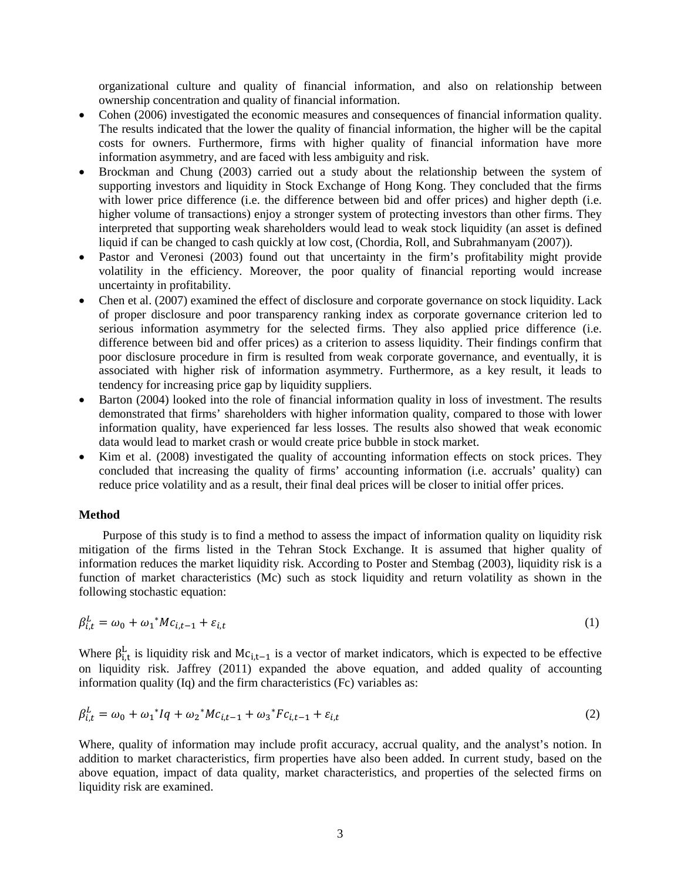organizational culture and quality of financial information, and also on relationship between ownership concentration and quality of financial information.

- Cohen (2006) investigated the economic measures and consequences of financial information quality. The results indicated that the lower the quality of financial information, the higher will be the capital costs for owners. Furthermore, firms with higher quality of financial information have more information asymmetry, and are faced with less ambiguity and risk.
- Brockman and Chung (2003) carried out a study about the relationship between the system of supporting investors and liquidity in Stock Exchange of Hong Kong. They concluded that the firms with lower price difference (i.e. the difference between bid and offer prices) and higher depth (i.e. higher volume of transactions) enjoy a stronger system of protecting investors than other firms. They interpreted that supporting weak shareholders would lead to weak stock liquidity (an asset is defined liquid if can be changed to cash quickly at low cost, (Chordia, Roll, and Subrahmanyam (2007)).
- Pastor and Veronesi (2003) found out that uncertainty in the firm's profitability might provide volatility in the efficiency. Moreover, the poor quality of financial reporting would increase uncertainty in profitability.
- Chen et al. (2007) examined the effect of disclosure and corporate governance on stock liquidity. Lack of proper disclosure and poor transparency ranking index as corporate governance criterion led to serious information asymmetry for the selected firms. They also applied price difference (i.e. difference between bid and offer prices) as a criterion to assess liquidity. Their findings confirm that poor disclosure procedure in firm is resulted from weak corporate governance, and eventually, it is associated with higher risk of information asymmetry. Furthermore, as a key result, it leads to tendency for increasing price gap by liquidity suppliers.
- Barton (2004) looked into the role of financial information quality in loss of investment. The results demonstrated that firms' shareholders with higher information quality, compared to those with lower information quality, have experienced far less losses. The results also showed that weak economic data would lead to market crash or would create price bubble in stock market.
- Kim et al. (2008) investigated the quality of accounting information effects on stock prices. They concluded that increasing the quality of firms' accounting information (i.e. accruals' quality) can reduce price volatility and as a result, their final deal prices will be closer to initial offer prices.

# **Method**

Purpose of this study is to find a method to assess the impact of information quality on liquidity risk mitigation of the firms listed in the Tehran Stock Exchange. It is assumed that higher quality of information reduces the market liquidity risk. According to Poster and Stembag (2003), liquidity risk is a function of market characteristics (Mc) such as stock liquidity and return volatility as shown in the following stochastic equation:

$$
\beta_{i,t}^L = \omega_0 + \omega_1^* M c_{i,t-1} + \varepsilon_{i,t} \tag{1}
$$

Where  $\beta_{i,t}^L$  is liquidity risk and Mc<sub>i,t-1</sub> is a vector of market indicators, which is expected to be effective on liquidity risk. Jaffrey (2011) expanded the above equation, and added quality of accounting information quality (Iq) and the firm characteristics (Fc) variables as:

$$
\beta_{i,t}^L = \omega_0 + {\omega_1}^* I q + {\omega_2}^* M c_{i,t-1} + {\omega_3}^* F c_{i,t-1} + \varepsilon_{i,t}
$$
\n(2)

Where, quality of information may include profit accuracy, accrual quality, and the analyst's notion. In addition to market characteristics, firm properties have also been added. In current study, based on the above equation, impact of data quality, market characteristics, and properties of the selected firms on liquidity risk are examined.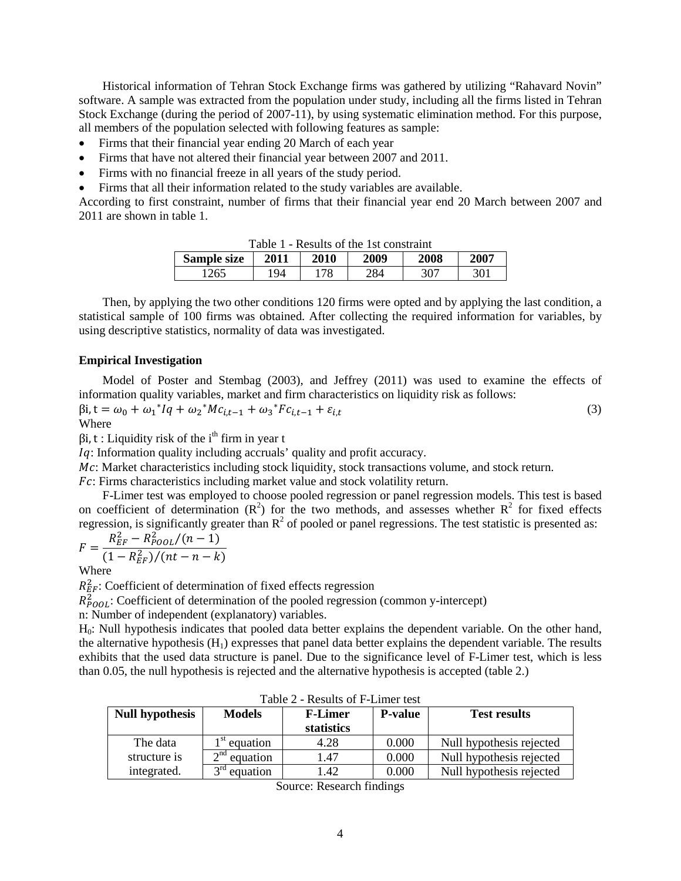Historical information of Tehran Stock Exchange firms was gathered by utilizing "Rahavard Novin" software. A sample was extracted from the population under study, including all the firms listed in Tehran Stock Exchange (during the period of 2007-11), by using systematic elimination method. For this purpose, all members of the population selected with following features as sample:

- Firms that their financial year ending 20 March of each year
- Firms that have not altered their financial year between 2007 and 2011.
- Firms with no financial freeze in all years of the study period.
- Firms that all their information related to the study variables are available.

According to first constraint, number of firms that their financial year end 20 March between 2007 and 2011 are shown in table 1.

| anie i<br>- Results of the 1st constraint |      |             |      |      |      |
|-------------------------------------------|------|-------------|------|------|------|
| <b>Sample size</b>                        | 2011 | <b>2010</b> | 2009 | 2008 | 2007 |
| 1265                                      | '94  | 178         | 284  |      | 301  |

Table 1 - Results of the 1st constraint

Then, by applying the two other conditions 120 firms were opted and by applying the last condition, a statistical sample of 100 firms was obtained. After collecting the required information for variables, by using descriptive statistics, normality of data was investigated.

### **Empirical Investigation**

Model of Poster and Stembag (2003), and Jeffrey (2011) was used to examine the effects of information quality variables, market and firm characteristics on liquidity risk as follows:

$$
\beta i, t = \omega_0 + \omega_1^* Iq + \omega_2^* Mc_{i,t-1} + \omega_3^* F c_{i,t-1} + \varepsilon_{i,t}
$$
\n(3)

 $\beta$ i, t : Liquidity risk of the i<sup>th</sup> firm in year t

: Information quality including accruals' quality and profit accuracy.

Mc: Market characteristics including stock liquidity, stock transactions volume, and stock return.

: Firms characteristics including market value and stock volatility return.

F-Limer test was employed to choose pooled regression or panel regression models. This test is based on coefficient of determination  $(R^2)$  for the two methods, and assesses whether  $R^2$  for fixed effects regression, is significantly greater than  $R^2$  of pooled or panel regressions. The test statistic is presented as:

$$
F = \frac{R_{EF}^2 - R_{\text{Pool}}^2/(n-1)}{(1 - R_{EF}^2)/(nt - n - k)}
$$

Where

 $R_{EF}^2$ : Coefficient of determination of fixed effects regression

 $R_{POOL}^2$ : Coefficient of determination of the pooled regression (common y-intercept)

n: Number of independent (explanatory) variables.

H<sub>0</sub>: Null hypothesis indicates that pooled data better explains the dependent variable. On the other hand, the alternative hypothesis  $(H_1)$  expresses that panel data better explains the dependent variable. The results exhibits that the used data structure is panel. Due to the significance level of F-Limer test, which is less than 0.05, the null hypothesis is rejected and the alternative hypothesis is accepted (table 2.)

| <b>Null hypothesis</b> | <b>Models</b>            | <b>F-Limer</b><br>statistics | <b>P-value</b> | <b>Test results</b>      |
|------------------------|--------------------------|------------------------------|----------------|--------------------------|
| The data               | l <sup>st</sup> equation | 4.28                         | 0.000          | Null hypothesis rejected |
| structure is           | $\sim$ nd<br>equation    | 1.47                         | 0.000          | Null hypothesis rejected |
| integrated.            | equation                 | .42                          | 0.000          | Null hypothesis rejected |

Table 2 - Results of F-Limer test

Source: Research findings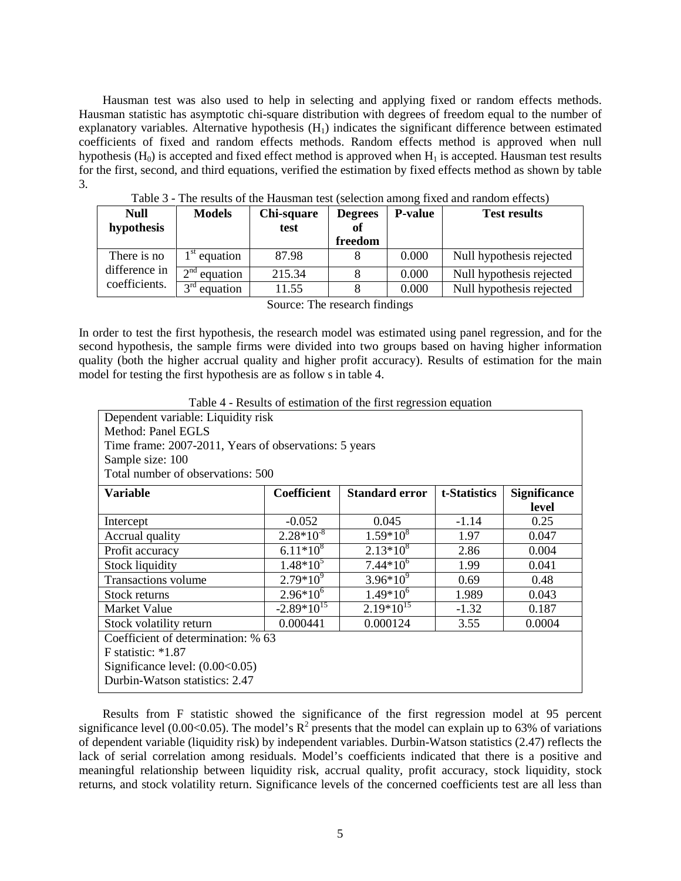Hausman test was also used to help in selecting and applying fixed or random effects methods. Hausman statistic has asymptotic chi-square distribution with degrees of freedom equal to the number of explanatory variables. Alternative hypothesis  $(H<sub>1</sub>)$  indicates the significant difference between estimated coefficients of fixed and random effects methods. Random effects method is approved when null hypothesis  $(H_0)$  is accepted and fixed effect method is approved when  $H_1$  is accepted. Hausman test results for the first, second, and third equations, verified the estimation by fixed effects method as shown by table 3.

| <b>Null</b><br>hypothesis | <b>Models</b>   | Chi-square<br>test | <b>Degrees</b><br>of<br>freedom | <b>P-value</b> | <b>Test results</b>      |
|---------------------------|-----------------|--------------------|---------------------------------|----------------|--------------------------|
| There is no               | $1st$ equation  | 87.98              |                                 | 0.000          | Null hypothesis rejected |
| difference in             | $2nd$ equation  | 215.34             |                                 | 0.000          | Null hypothesis rejected |
| coefficients.             | 2rd<br>equation | 11.55              |                                 | 0.000          | Null hypothesis rejected |

Table 3 - The results of the Hausman test (selection among fixed and random effects)

Source: The research findings

In order to test the first hypothesis, the research model was estimated using panel regression, and for the second hypothesis, the sample firms were divided into two groups based on having higher information quality (both the higher accrual quality and higher profit accuracy). Results of estimation for the main model for testing the first hypothesis are as follow s in table 4.

Table 4 - Results of estimation of the first regression equation

| Dependent variable: Liquidity risk                                |                                                                                    |                |         |       |  |  |
|-------------------------------------------------------------------|------------------------------------------------------------------------------------|----------------|---------|-------|--|--|
| Method: Panel EGLS                                                |                                                                                    |                |         |       |  |  |
|                                                                   | Time frame: 2007-2011, Years of observations: 5 years                              |                |         |       |  |  |
| Sample size: 100                                                  |                                                                                    |                |         |       |  |  |
| Total number of observations: 500                                 |                                                                                    |                |         |       |  |  |
| <b>Variable</b>                                                   | <b>Coefficient</b><br><b>Standard error</b><br>t-Statistics<br><b>Significance</b> |                |         |       |  |  |
|                                                                   |                                                                                    |                |         | level |  |  |
| Intercept                                                         | $-0.052$                                                                           | 0.045          | $-1.14$ | 0.25  |  |  |
| Accrual quality                                                   | $2.28*10^{-8}$                                                                     | $1.59*10^{8}$  | 1.97    | 0.047 |  |  |
| Profit accuracy                                                   | $6.11*10^{8}$                                                                      | $2.13*10^{8}$  | 2.86    | 0.004 |  |  |
| <b>Stock liquidity</b>                                            | $1.48*10^5$                                                                        | $7.44*10^{6}$  | 1.99    | 0.041 |  |  |
| <b>Transactions volume</b>                                        | $2.79*10^9$                                                                        | $3.96*10^{9}$  | 0.69    | 0.48  |  |  |
| Stock returns                                                     | $2.96*10^{6}$                                                                      | $1.49*10^{6}$  | 1.989   | 0.043 |  |  |
| Market Value                                                      | $-2.89*10^{15}$                                                                    | $2.19*10^{15}$ | $-1.32$ | 0.187 |  |  |
| 0.000441<br>0.000124<br>3.55<br>0.0004<br>Stock volatility return |                                                                                    |                |         |       |  |  |
| Coefficient of determination: % 63                                |                                                                                    |                |         |       |  |  |
| $F$ statistic: $*1.87$                                            |                                                                                    |                |         |       |  |  |
| Significance level: $(0.00<0.05)$                                 |                                                                                    |                |         |       |  |  |
| Durbin-Watson statistics: 2.47                                    |                                                                                    |                |         |       |  |  |

Results from F statistic showed the significance of the first regression model at 95 percent significance level (0.00<0.05). The model's  $R^2$  presents that the model can explain up to 63% of variations of dependent variable (liquidity risk) by independent variables. Durbin-Watson statistics (2.47) reflects the lack of serial correlation among residuals. Model's coefficients indicated that there is a positive and meaningful relationship between liquidity risk, accrual quality, profit accuracy, stock liquidity, stock returns, and stock volatility return. Significance levels of the concerned coefficients test are all less than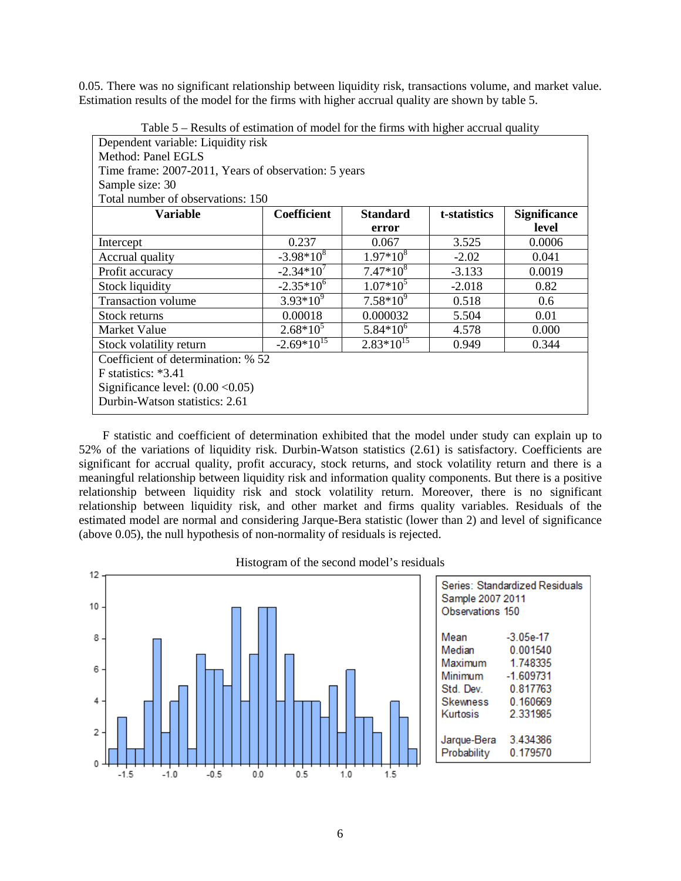0.05. There was no significant relationship between liquidity risk, transactions volume, and market value. Estimation results of the model for the firms with higher accrual quality are shown by table 5.

| $\Gamma$ able $\Im$ – Results of estimation of model for the firms with inglier accrual quality |                |                 |              |                     |  |
|-------------------------------------------------------------------------------------------------|----------------|-----------------|--------------|---------------------|--|
| Dependent variable: Liquidity risk                                                              |                |                 |              |                     |  |
| Method: Panel EGLS                                                                              |                |                 |              |                     |  |
| Time frame: 2007-2011, Years of observation: 5 years                                            |                |                 |              |                     |  |
| Sample size: 30                                                                                 |                |                 |              |                     |  |
| Total number of observations: 150                                                               |                |                 |              |                     |  |
| <b>Variable</b>                                                                                 | Coefficient    | <b>Standard</b> | t-statistics | <b>Significance</b> |  |
|                                                                                                 |                | error           |              | level               |  |
| Intercept                                                                                       | 0.237          | 0.067           | 3.525        | 0.0006              |  |
| Accrual quality                                                                                 | $-3.98*10^{8}$ | $1.97*10^{8}$   | $-2.02$      | 0.041               |  |
| Profit accuracy                                                                                 | $-2.34*10^{7}$ | $7.47*10^{8}$   | $-3.133$     | 0.0019              |  |
| <b>Stock liquidity</b>                                                                          | $-2.35*10^{6}$ | $1.07*10^5$     | $-2.018$     | 0.82                |  |
| <b>Transaction volume</b>                                                                       | $3.93*10^{9}$  | $7.58*10^{9}$   | 0.518        | 0.6                 |  |
| Stock returns                                                                                   | 0.00018        | 0.000032        | 5.504        | 0.01                |  |
| Market Value                                                                                    | $2.68*10^5$    | $5.84*10^{6}$   | 4.578        | 0.000               |  |
| $-2.69*10^{15}$<br>$2.83*10^{15}$<br>0.949<br>0.344<br>Stock volatility return                  |                |                 |              |                     |  |
| Coefficient of determination: % 52                                                              |                |                 |              |                     |  |
| $F$ statistics: $*3.41$                                                                         |                |                 |              |                     |  |
| Significance level: $(0.00 < 0.05)$                                                             |                |                 |              |                     |  |
| Durbin-Watson statistics: 2.61                                                                  |                |                 |              |                     |  |

Table 5 – Results of estimation of model for the firms with higher accrual quality

F statistic and coefficient of determination exhibited that the model under study can explain up to 52% of the variations of liquidity risk. Durbin-Watson statistics (2.61) is satisfactory. Coefficients are significant for accrual quality, profit accuracy, stock returns, and stock volatility return and there is a meaningful relationship between liquidity risk and information quality components. But there is a positive relationship between liquidity risk and stock volatility return. Moreover, there is no significant relationship between liquidity risk, and other market and firms quality variables. Residuals of the estimated model are normal and considering Jarque-Bera statistic (lower than 2) and level of significance (above 0.05), the null hypothesis of non-normality of residuals is rejected.



Histogram of the second model's residuals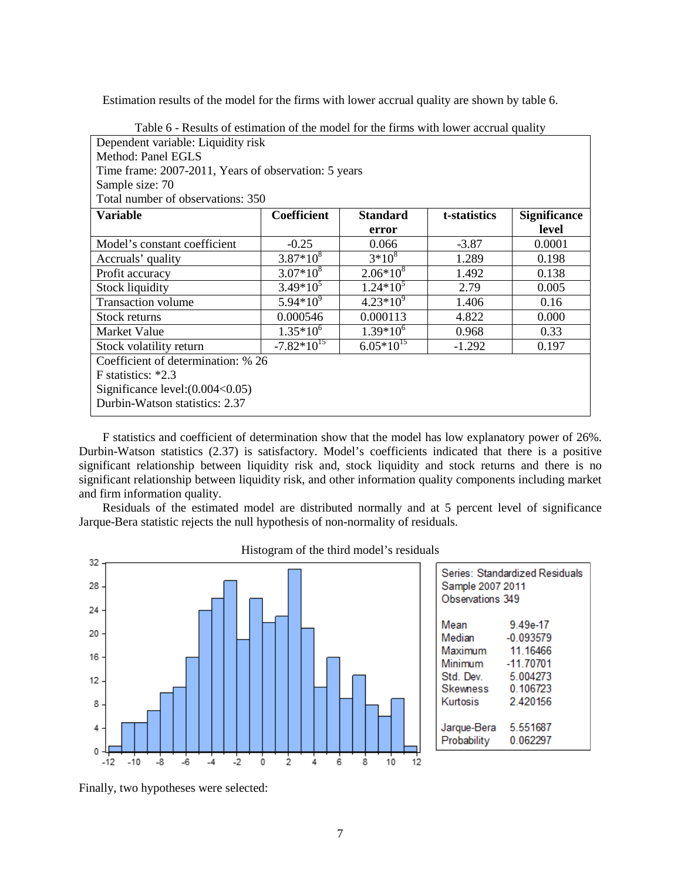Estimation results of the model for the firms with lower accrual quality are shown by table 6.

| Table o - Results of estimation of the model for the firms with lower accrual quality |               |                 |              |                     |  |
|---------------------------------------------------------------------------------------|---------------|-----------------|--------------|---------------------|--|
| Dependent variable: Liquidity risk                                                    |               |                 |              |                     |  |
| Method: Panel EGLS                                                                    |               |                 |              |                     |  |
| Time frame: 2007-2011, Years of observation: 5 years                                  |               |                 |              |                     |  |
| Sample size: 70                                                                       |               |                 |              |                     |  |
| Total number of observations: 350                                                     |               |                 |              |                     |  |
| <b>Variable</b>                                                                       | Coefficient   | <b>Standard</b> | t-statistics | <b>Significance</b> |  |
|                                                                                       |               | error           |              | level               |  |
| Model's constant coefficient                                                          | $-0.25$       | 0.066           | $-3.87$      | 0.0001              |  |
| Accruals' quality                                                                     | $3.87*10^{8}$ | $3*10^{8}$      | 1.289        | 0.198               |  |
| Profit accuracy                                                                       | $3.07*10^{8}$ | $2.06*10^{8}$   | 1.492        | 0.138               |  |
| <b>Stock liquidity</b>                                                                | $3.49*10^5$   | $1.24*10^5$     | 2.79         | 0.005               |  |
| <b>Transaction volume</b>                                                             | $5.94*10^{9}$ | $4.23*10^{9}$   | 1.406        | 0.16                |  |
| Stock returns                                                                         | 0.000546      | 0.000113        | 4.822        | 0.000               |  |
| Market Value                                                                          | $1.35*10^{6}$ | $1.39*10^{6}$   | 0.968        | 0.33                |  |
| $-7.82*10^{15}$<br>$6.05*10^{15}$<br>Stock volatility return<br>$-1.292$<br>0.197     |               |                 |              |                     |  |
| Coefficient of determination: % 26                                                    |               |                 |              |                     |  |
| F statistics: $*2.3$                                                                  |               |                 |              |                     |  |
| Significance $level:(0.004<0.05)$                                                     |               |                 |              |                     |  |
| Durbin-Watson statistics: 2.37                                                        |               |                 |              |                     |  |

Table 6 - Results of estimation of the model for the firms with lower accrual quality

F statistics and coefficient of determination show that the model has low explanatory power of 26%. Durbin-Watson statistics (2.37) is satisfactory. Model's coefficients indicated that there is a positive significant relationship between liquidity risk and, stock liquidity and stock returns and there is no significant relationship between liquidity risk, and other information quality components including market and firm information quality.

Residuals of the estimated model are distributed normally and at 5 percent level of significance Jarque-Bera statistic rejects the null hypothesis of non-normality of residuals.



Histogram of the third model's residuals

| Series: Standardized Residuals<br>Sample 2007 2011<br>Observations 349 |             |  |  |
|------------------------------------------------------------------------|-------------|--|--|
| Mean                                                                   | 9.49e-17    |  |  |
| Median                                                                 | $-0.093579$ |  |  |
| Maximum                                                                | 11 16466    |  |  |
| Minimum                                                                | -11.70701   |  |  |
| Std Dev                                                                | 5.004273    |  |  |
| Skewness                                                               | 0 106723    |  |  |
| Kurtosis                                                               | 2420156     |  |  |
| Jarque-Bera                                                            | 5.551687    |  |  |
| Probability                                                            | 0.062297    |  |  |

Finally, two hypotheses were selected: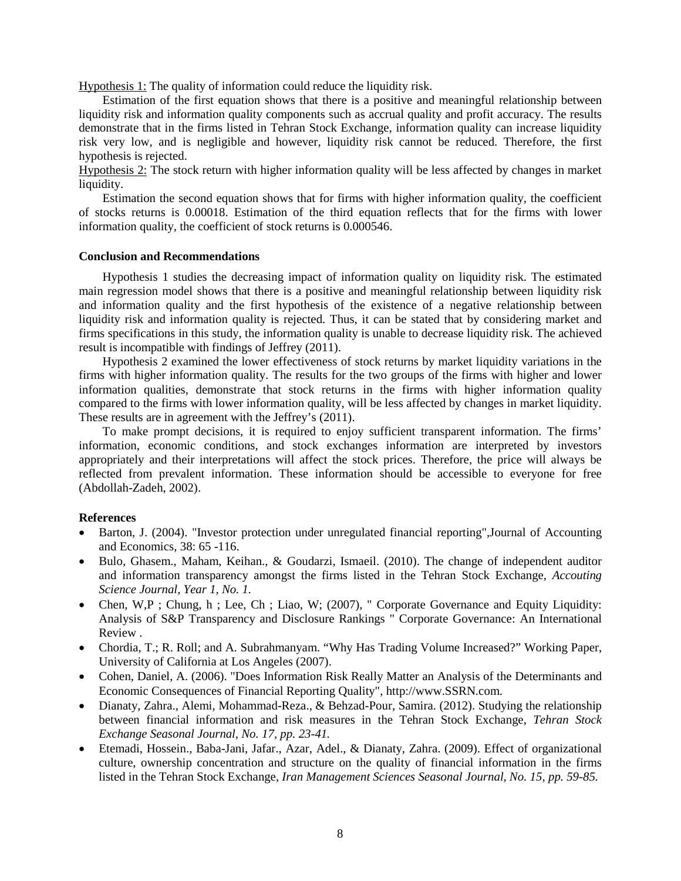Hypothesis 1: The quality of information could reduce the liquidity risk.

Estimation of the first equation shows that there is a positive and meaningful relationship between liquidity risk and information quality components such as accrual quality and profit accuracy. The results demonstrate that in the firms listed in Tehran Stock Exchange, information quality can increase liquidity risk very low, and is negligible and however, liquidity risk cannot be reduced. Therefore, the first hypothesis is rejected.

Hypothesis 2: The stock return with higher information quality will be less affected by changes in market liquidity.

Estimation the second equation shows that for firms with higher information quality, the coefficient of stocks returns is 0.00018. Estimation of the third equation reflects that for the firms with lower information quality, the coefficient of stock returns is 0.000546.

#### **Conclusion and Recommendations**

Hypothesis 1 studies the decreasing impact of information quality on liquidity risk. The estimated main regression model shows that there is a positive and meaningful relationship between liquidity risk and information quality and the first hypothesis of the existence of a negative relationship between liquidity risk and information quality is rejected. Thus, it can be stated that by considering market and firms specifications in this study, the information quality is unable to decrease liquidity risk. The achieved result is incompatible with findings of Jeffrey (2011).

Hypothesis 2 examined the lower effectiveness of stock returns by market liquidity variations in the firms with higher information quality. The results for the two groups of the firms with higher and lower information qualities, demonstrate that stock returns in the firms with higher information quality compared to the firms with lower information quality, will be less affected by changes in market liquidity. These results are in agreement with the Jeffrey's (2011).

To make prompt decisions, it is required to enjoy sufficient transparent information. The firms' information, economic conditions, and stock exchanges information are interpreted by investors appropriately and their interpretations will affect the stock prices. Therefore, the price will always be reflected from prevalent information. These information should be accessible to everyone for free (Abdollah-Zadeh, 2002).

### **References**

- Barton, J. (2004). "Investor protection under unregulated financial reporting", Journal of Accounting and Economics, 38: 65 -116.
- Bulo, Ghasem., Maham, Keihan., & Goudarzi, Ismaeil. (2010). The change of independent auditor and information transparency amongst the firms listed in the Tehran Stock Exchange, *Accouting Science Journal, Year 1, No. 1.*
- Chen, W,P; Chung, h; Lee, Ch; Liao, W; (2007), " Corporate Governance and Equity Liquidity: Analysis of S&P Transparency and Disclosure Rankings " Corporate Governance: An International Review .
- Chordia, T.; R. Roll; and A. Subrahmanyam. "Why Has Trading Volume Increased?" Working Paper, University of California at Los Angeles (2007).
- Cohen, Daniel, A. (2006). "Does Information Risk Really Matter an Analysis of the Determinants and Economic Consequences of Financial Reporting Quality", http://www.SSRN.com.
- Dianaty, Zahra., Alemi, Mohammad-Reza., & Behzad-Pour, Samira. (2012). Studying the relationship between financial information and risk measures in the Tehran Stock Exchange, *Tehran Stock Exchange Seasonal Journal, No. 17, pp. 23-41.*
- Etemadi, Hossein., Baba-Jani, Jafar., Azar, Adel., & Dianaty, Zahra. (2009). Effect of organizational culture, ownership concentration and structure on the quality of financial information in the firms listed in the Tehran Stock Exchange, *Iran Management Sciences Seasonal Journal, No. 15, pp. 59-85.*